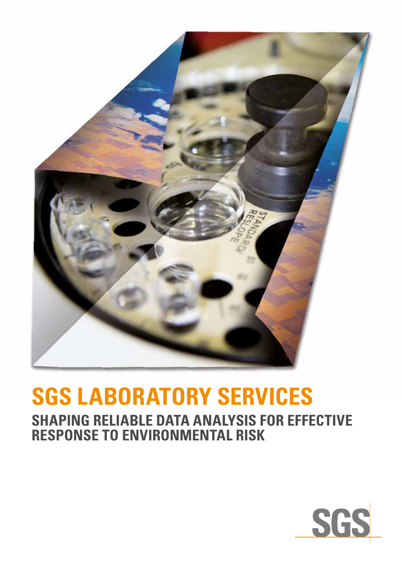

# **SGS LABORATORY SERVICES**

**SHAPING RELIABLE DATA ANALYSIS FOR EFFECTIVE RESPONSE TO ENVIRONMENTAL RISK**

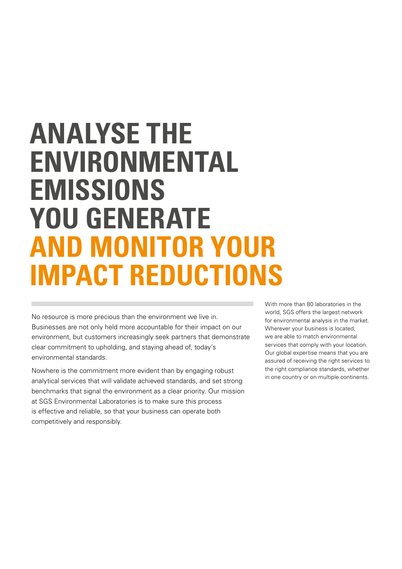## **ANALYSE THE ENVIRONMENTAL EMISSIONS YOU GENERATE AND MONITOR YOUR IMPACT REDUCTIONS**

No resource is more precious than the environment we live in. Businesses are not only held more accountable for their impact on our environment, but customers increasingly seek partners that demonstrate clear commitment to upholding, and staying ahead of, today's environmental standards.

Nowhere is the commitment more evident than by engaging robust analytical services that will validate achieved standards, and set strong benchmarks that signal the environment as a clear priority. Our mission at SGS Environmental Laboratories is to make sure this process is effective and reliable, so that your business can operate both competitively and responsibly.

With more than 80 laboratories in the world, SGS offers the largest network for environmental analysis in the market. Wherever your business is located, we are able to match environmental services that comply with your location. Our global expertise means that you are assured of receiving the right services to the right compliance standards, whether in one country or on multiple continents.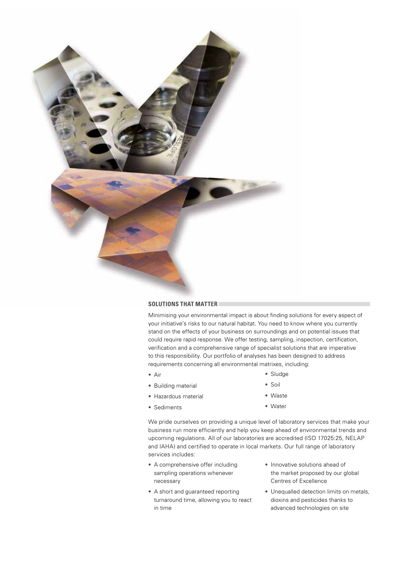

#### **SOLUTIONS THAT MATTER**

Minimising your environmental impact is about finding solutions for every aspect of your initiative's risks to our natural habitat. You need to know where you currently stand on the effects of your business on surroundings and on potential issues that could require rapid response. We offer testing, sampling, inspection, certification, verification and a comprehensive range of specialist solutions that are imperative to this responsibility. Our portfolio of analyses has been designed to address requirements concerning all environmental matrixes, including:

• Air

• Sludge

• Building material

• Soil

- Hazardous material
- Sediments
- Waste
- Water

We pride ourselves on providing a unique level of laboratory services that make your business run more efficiently and help you keep ahead of environmental trends and upcoming regulations. All of our laboratories are accredited (ISO 17025:25, NELAP and IAHA) and certified to operate in local markets. Our full range of laboratory services includes:

- A comprehensive offer including sampling operations whenever necessary
- A short and guaranteed reporting turnaround time, allowing you to react in time
- Innovative solutions ahead of the market proposed by our global Centres of Excellence
- Unequalled detection limits on metals, dioxins and pesticides thanks to advanced technologies on site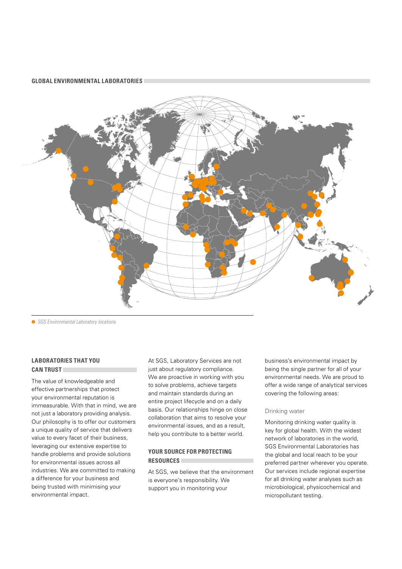#### **GLOBAL ENVIRONMENTAL LABORATORIES**



 *SGS Environmental Laboratory locations*

#### **LABORATORIES THAT YOU CAN TRUST**

The value of knowledgeable and effective partnerships that protect your environmental reputation is immeasurable. With that in mind, we are not just a laboratory providing analysis. Our philosophy is to offer our customers a unique quality of service that delivers value to every facet of their business, leveraging our extensive expertise to handle problems and provide solutions for environmental issues across all industries. We are committed to making a difference for your business and being trusted with minimising your environmental impact.

At SGS, Laboratory Services are not just about regulatory compliance. We are proactive in working with you to solve problems, achieve targets and maintain standards during an entire project lifecycle and on a daily basis. Our relationships hinge on close collaboration that aims to resolve your environmental issues, and as a result, help you contribute to a better world.

#### **YOUR SOURCE FOR PROTECTING RESOURCES**

At SGS, we believe that the environment is everyone's responsibility. We support you in monitoring your

business's environmental impact by being the single partner for all of your environmental needs. We are proud to offer a wide range of analytical services covering the following areas:

#### Drinking water

Monitoring drinking water quality is key for global health. With the widest network of laboratories in the world, SGS Environmental Laboratories has the global and local reach to be your preferred partner wherever you operate. Our services include regional expertise for all drinking water analyses such as microbiological, physicochemical and micropollutant testing.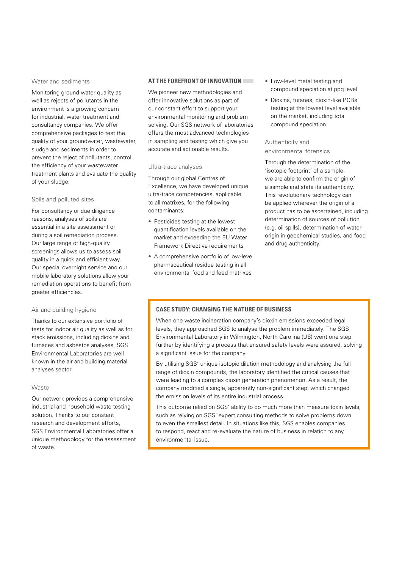#### Water and sediments

Monitoring ground water quality as well as rejects of pollutants in the environment is a growing concern for industrial, water treatment and consultancy companies. We offer comprehensive packages to test the quality of your groundwater, wastewater, sludge and sediments in order to prevent the reject of pollutants, control the efficiency of your wastewater treatment plants and evaluate the quality of your sludge.

#### Soils and polluted sites

For consultancy or due diligence reasons, analyses of soils are essential in a site assessment or during a soil remediation process. Our large range of high-quality screenings allows us to assess soil quality in a quick and efficient way. Our special overnight service and our mobile laboratory solutions allow your remediation operations to benefit from greater efficiencies.

#### Air and building hygiene

Thanks to our extensive portfolio of tests for indoor air quality as well as for stack emissions, including dioxins and furnaces and asbestos analyses, SGS Environmental Laboratories are well known in the air and building material analyses sector.

#### Waste

Our network provides a comprehensive industrial and household waste testing solution. Thanks to our constant research and development efforts, SGS Environmental Laboratories offer a unique methodology for the assessment of waste.

#### **AT THE FOREFRONT OF INNOVATION**

We pioneer new methodologies and offer innovative solutions as part of our constant effort to support your environmental monitoring and problem solving. Our SGS network of laboratories offers the most advanced technologies in sampling and testing which give you accurate and actionable results.

#### Ultra-trace analyses

Through our global Centres of Excellence, we have developed unique ultra-trace competencies, applicable to all matrixes, for the following contaminants:

- Pesticides testing at the lowest quantification levels available on the market and exceeding the EU Water Framework Directive requirements
- A comprehensive portfolio of low-level pharmaceutical residue testing in all environmental food and feed matrixes
- Low-level metal testing and compound speciation at ppq level
- Dioxins, furanes, dioxin-like PCBs testing at the lowest level available on the market, including total compound speciation

#### Authenticity and environmental forensics

Through the determination of the 'isotopic footprint' of a sample, we are able to confirm the origin of a sample and state its authenticity. This revolutionary technology can be applied wherever the origin of a product has to be ascertained, including determination of sources of pollution (e.g. oil spills), determination of water origin in geochemical studies, and food and drug authenticity.

#### **CASE STUDY: CHANGING THE NATURE OF BUSINESS**

When one waste incineration company's dioxin emissions exceeded legal levels, they approached SGS to analyse the problem immediately. The SGS Environmental Laboratory in Wilmington, North Carolina (US) went one step further by identifying a process that ensured safety levels were assured, solving a significant issue for the company.

By utilising SGS' unique isotopic dilution methodology and analysing the full range of dioxin compounds, the laboratory identified the critical causes that were leading to a complex dioxin generation phenomenon. As a result, the company modified a single, apparently non-significant step, which changed the emission levels of its entire industrial process.

This outcome relied on SGS' ability to do much more than measure toxin levels, such as relying on SGS' expert consulting methods to solve problems down to even the smallest detail. In situations like this, SGS enables companies to respond, react and re-evaluate the nature of business in relation to any environmental issue.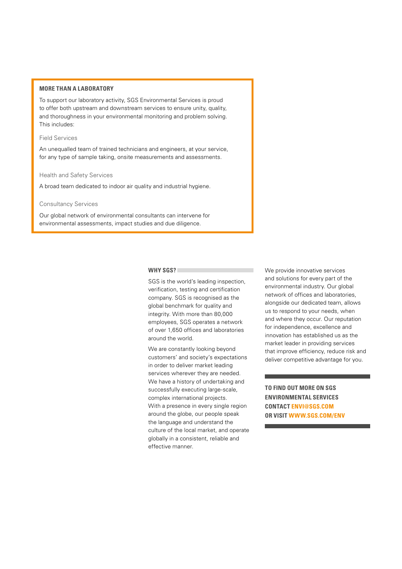#### **MORE THAN A LABORATORY**

To support our laboratory activity, SGS Environmental Services is proud to offer both upstream and downstream services to ensure unity, quality, and thoroughness in your environmental monitoring and problem solving. This includes:

#### Field Services

An unequalled team of trained technicians and engineers, at your service, for any type of sample taking, onsite measurements and assessments.

#### Health and Safety Services

A broad team dedicated to indoor air quality and industrial hygiene.

#### Consultancy Services

Our global network of environmental consultants can intervene for environmental assessments, impact studies and due diligence.

#### **WHY SGS?**

SGS is the world's leading inspection, verification, testing and certification company. SGS is recognised as the global benchmark for quality and integrity. With more than 80,000 employees, SGS operates a network of over 1,650 offices and laboratories around the world.

We are constantly looking beyond customers' and society's expectations in order to deliver market leading services wherever they are needed. We have a history of undertaking and successfully executing large-scale, complex international projects. With a presence in every single region around the globe, our people speak the language and understand the culture of the local market, and operate globally in a consistent, reliable and effective manner.

We provide innovative services and solutions for every part of the environmental industry. Our global network of offices and laboratories, alongside our dedicated team, allows us to respond to your needs, when and where they occur. Our reputation for independence, excellence and innovation has established us as the market leader in providing services that improve efficiency, reduce risk and deliver competitive advantage for you.

**TO FIND OUT MORE ON SGS ENVIRONMENTAL SERVICES CONTAC[T ENVI@SGS.COM](mailto: envi@sgs.com) OR VISI[T WWW.SGS.COM/ENV](www.sgs.com/env)**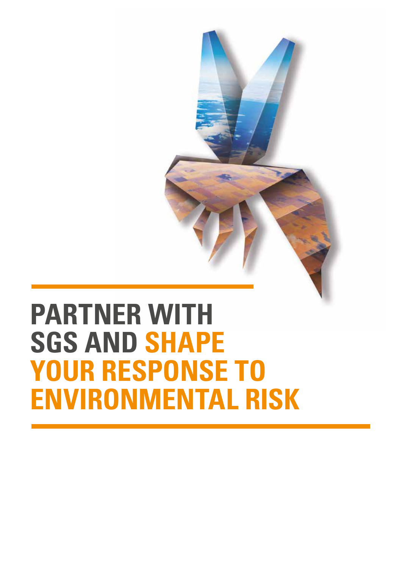